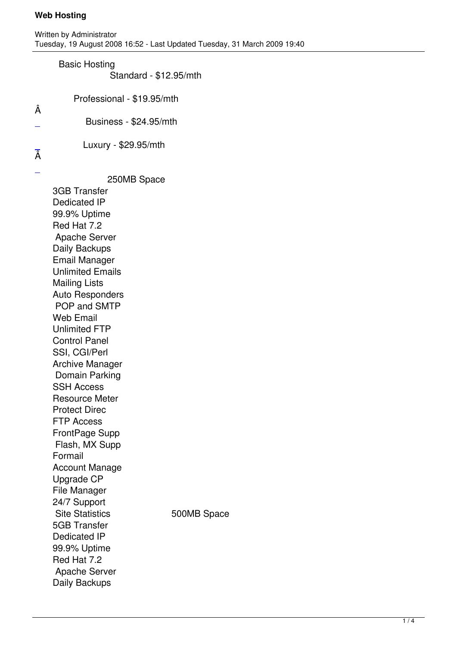## Basic Hosting

Written by Administrator and Administrator and Administrator and Administrator and Administrator and Administrator and Administrator and Administrator and Administrator and Administrator and Administrator and Administrator

Standard - \$12.95/mth

- Professional \$19.95/mth
- Business \$24.95/mth

Luxury - \$29.95/mth

[Â](../secure/signup.php)  $\overline{a}$ 

Â

250MB Space

 3GB Transfer Dedicated IP 99.9% Uptime Red Hat 7.2 Apache Server Daily Backups Email Manager Unlimited Emails Mailing Lists Auto Responders POP and SMTP Web Email Unlimited FTP Control Panel SSI, CGI/Perl Archive Manager Domain Parking SSH Access Resource Meter Protect Direc FTP Access FrontPage Supp Flash, MX Supp Formail Account Manage Upgrade CP File Manager 24/7 Support Site Statistics 500MB Space 5GB Transfer Dedicated IP 99.9% Uptime Red Hat 7.2 Apache Server Daily Backups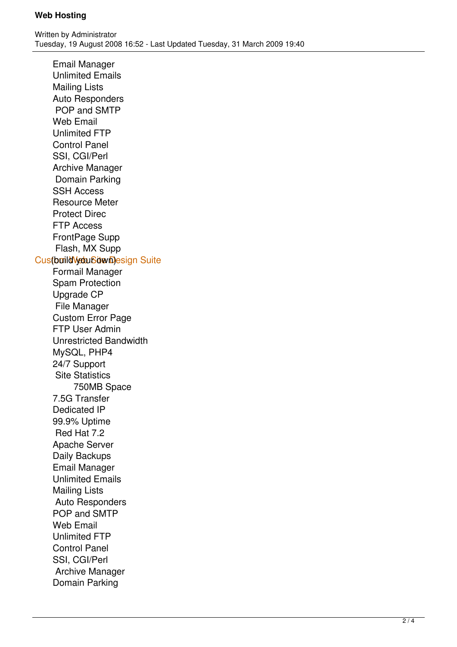Email Manager Unlimited Emails Mailing Lists Auto Responders POP and SMTP Web Email Unlimited FTP Control Panel SSI, CGI/Perl Archive Manager Domain Parking SSH Access Resource Meter Protect Direc FTP Access FrontPage Supp Flash, MX Supp Customild VebuSdw Design Suite Formail Manager Spam Protection Upgrade CP File Manager Custom Error Page FTP User Admin Unrestricted Bandwidth MySQL, PHP4 24/7 Support Site Statistics 750MB Space 7.5G Transfer Dedicated IP 99.9% Uptime Red Hat 7.2 Apache Server Daily Backups Email Manager Unlimited Emails Mailing Lists Auto Responders POP and SMTP Web Email Unlimited FTP Control Panel SSI, CGI/Perl Archive Manager Domain Parking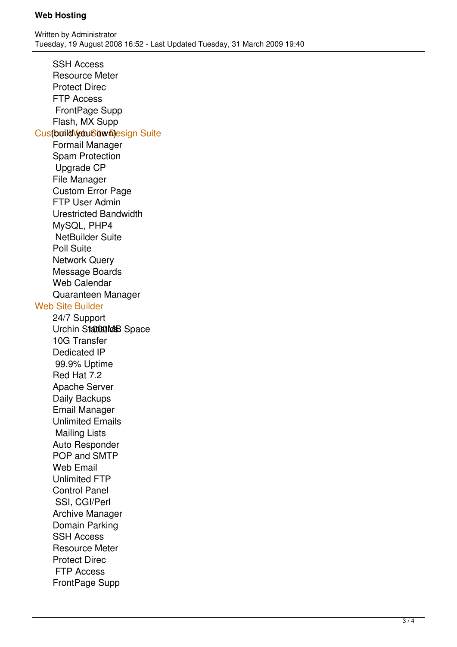SSH Access Resource Meter Protect Direc FTP Access FrontPage Supp Flash, MX Supp Customild Vebu Sown Design Suite Formail Manager Spam Protection Upgrade CP File Manager Custom Error Page FTP User Admin Urestricted Bandwidth MySQL, PHP4 NetBuilder Suite Poll Suite Network Query Message Boards Web Calendar Quaranteen Manager Web Site Builder 24/7 Support Urchin Statestes Space 10G Transfer Dedicated IP 99.9% Uptime Red Hat 7.2 Apache Server Daily Backups Email Manager Unlimited Emails Mailing Lists Auto Responder POP and SMTP Web Email Unlimited FTP Control Panel SSI, CGI/Perl Archive Manager Domain Parking SSH Access Resource Meter Protect Direc FTP Access FrontPage Supp